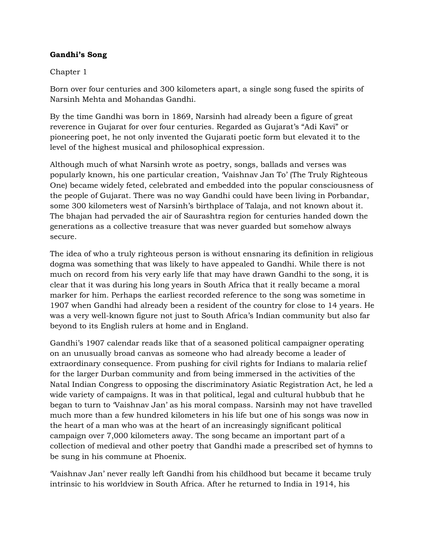## **Gandhi's Song**

## Chapter 1

Born over four centuries and 300 kilometers apart, a single song fused the spirits of Narsinh Mehta and Mohandas Gandhi.

By the time Gandhi was born in 1869, Narsinh had already been a figure of great reverence in Gujarat for over four centuries. Regarded as Gujarat's "Adi Kavi" or pioneering poet, he not only invented the Gujarati poetic form but elevated it to the level of the highest musical and philosophical expression.

Although much of what Narsinh wrote as poetry, songs, ballads and verses was popularly known, his one particular creation, 'Vaishnav Jan To' (The Truly Righteous One) became widely feted, celebrated and embedded into the popular consciousness of the people of Gujarat. There was no way Gandhi could have been living in Porbandar, some 300 kilometers west of Narsinh's birthplace of Talaja, and not known about it. The bhajan had pervaded the air of Saurashtra region for centuries handed down the generations as a collective treasure that was never guarded but somehow always secure.

The idea of who a truly righteous person is without ensnaring its definition in religious dogma was something that was likely to have appealed to Gandhi. While there is not much on record from his very early life that may have drawn Gandhi to the song, it is clear that it was during his long years in South Africa that it really became a moral marker for him. Perhaps the earliest recorded reference to the song was sometime in 1907 when Gandhi had already been a resident of the country for close to 14 years. He was a very well-known figure not just to South Africa's Indian community but also far beyond to its English rulers at home and in England.

Gandhi's 1907 calendar reads like that of a seasoned political campaigner operating on an unusually broad canvas as someone who had already become a leader of extraordinary consequence. From pushing for civil rights for Indians to malaria relief for the larger Durban community and from being immersed in the activities of the Natal Indian Congress to opposing the discriminatory Asiatic Registration Act, he led a wide variety of campaigns. It was in that political, legal and cultural hubbub that he began to turn to 'Vaishnav Jan' as his moral compass. Narsinh may not have travelled much more than a few hundred kilometers in his life but one of his songs was now in the heart of a man who was at the heart of an increasingly significant political campaign over 7,000 kilometers away. The song became an important part of a collection of medieval and other poetry that Gandhi made a prescribed set of hymns to be sung in his commune at Phoenix.

'Vaishnav Jan' never really left Gandhi from his childhood but became it became truly intrinsic to his worldview in South Africa. After he returned to India in 1914, his